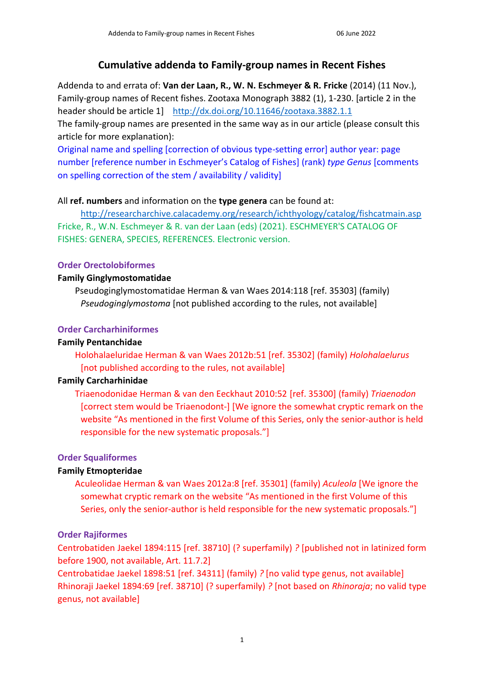# **Cumulative addenda to Family-group names in Recent Fishes**

Addenda to and errata of: **Van der Laan, R., W. N. Eschmeyer & R. Fricke** (2014) (11 Nov.), Family-group names of Recent fishes. Zootaxa Monograph 3882 (1), 1-230. [article 2 in the header should be article 1] <http://dx.doi.org/10.11646/zootaxa.3882.1.1>

The family-group names are presented in the same way as in our article (please consult this article for more explanation):

Original name and spelling [correction of obvious type-setting error] author year: page number [reference number in Eschmeyer's Catalog of Fishes] (rank) *type Genus* [comments on spelling correction of the stem / availability / validity]

### All **ref. numbers** and information on the **type genera** can be found at:

<http://researcharchive.calacademy.org/research/ichthyology/catalog/fishcatmain.asp> Fricke, R., W.N. Eschmeyer & R. van der Laan (eds) (2021). ESCHMEYER'S CATALOG OF FISHES: GENERA, SPECIES, REFERENCES. Electronic version.

## **Order Orectolobiformes**

### **Family Ginglymostomatidae**

Pseudoginglymostomatidae Herman & van Waes 2014:118 [ref. 35303] (family) *Pseudoginglymostoma* [not published according to the rules, not available]

## **Order Carcharhiniformes**

### **Family Pentanchidae**

Holohalaeluridae Herman & van Waes 2012b:51 [ref. 35302] (family) *Holohalaelurus* [not published according to the rules, not available]

### **Family Carcharhinidae**

Triaenodonidae Herman & van den Eeckhaut 2010:52 [ref. 35300] (family) *Triaenodon* [correct stem would be Triaenodont-] [We ignore the somewhat cryptic remark on the website "As mentioned in the first Volume of this Series, only the senior-author is held responsible for the new systematic proposals."]

# **Order Squaliformes**

# **Family Etmopteridae**

Aculeolidae Herman & van Waes 2012a:8 [ref. 35301] (family) *Aculeola* [We ignore the somewhat cryptic remark on the website "As mentioned in the first Volume of this Series, only the senior-author is held responsible for the new systematic proposals."]

### **Order Rajiformes**

Centrobatiden Jaekel 1894:115 [ref. 38710] (? superfamily) *?* [published not in latinized form before 1900, not available, Art. 11.7.2]

Centrobatidae Jaekel 1898:51 [ref. 34311] (family) *?* [no valid type genus, not available] Rhinoraji Jaekel 1894:69 [ref. 38710] (? superfamily) *?* [not based on *Rhinoraja*; no valid type genus, not available]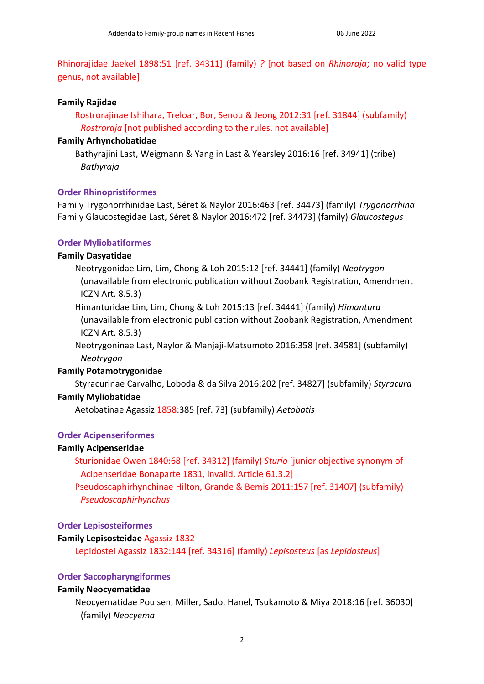Rhinorajidae Jaekel 1898:51 [ref. 34311] (family) *?* [not based on *Rhinoraja*; no valid type genus, not available]

### **Family Rajidae**

Rostrorajinae Ishihara, Treloar, Bor, Senou & Jeong 2012:31 [ref. 31844] (subfamily) *Rostroraja* [not published according to the rules, not available]

### **Family Arhynchobatidae**

Bathyrajini Last, Weigmann & Yang in Last & Yearsley 2016:16 [ref. 34941] (tribe) *Bathyraja*

### **Order Rhinopristiformes**

Family Trygonorrhinidae Last, Séret & Naylor 2016:463 [ref. 34473] (family) *Trygonorrhina* Family Glaucostegidae Last, Séret & Naylor 2016:472 [ref. 34473] (family) *Glaucostegus*

### **Order Myliobatiformes**

### **Family Dasyatidae**

Neotrygonidae Lim, Lim, Chong & Loh 2015:12 [ref. 34441] (family) *Neotrygon* (unavailable from electronic publication without Zoobank Registration, Amendment ICZN Art. 8.5.3)

Himanturidae Lim, Lim, Chong & Loh 2015:13 [ref. 34441] (family) *Himantura* (unavailable from electronic publication without Zoobank Registration, Amendment ICZN Art. 8.5.3)

Neotrygoninae Last, Naylor & Manjaji-Matsumoto 2016:358 [ref. 34581] (subfamily) *Neotrygon*

#### **Family Potamotrygonidae**

Styracurinae Carvalho, Loboda & da Silva 2016:202 [ref. 34827] (subfamily) *Styracura* **Family Myliobatidae**

Aetobatinae Agassiz 1858:385 [ref. 73] (subfamily) *Aetobatis*

#### **Order Acipenseriformes**

#### **Family Acipenseridae**

Sturionidae Owen 1840:68 [ref. 34312] (family) *Sturio* [junior objective synonym of Acipenseridae Bonaparte 1831, invalid, Article 61.3.2]

Pseudoscaphirhynchinae Hilton, Grande & Bemis 2011:157 [ref. 31407] (subfamily) *Pseudoscaphirhynchus*

#### **Order Lepisosteiformes**

### **Family Lepisosteidae** Agassiz 1832

Lepidostei Agassiz 1832:144 [ref. 34316] (family) *Lepisosteus* [as *Lepidosteus*]

#### **Order Saccopharyngiformes**

#### **Family Neocyematidae**

Neocyematidae Poulsen, Miller, Sado, Hanel, Tsukamoto & Miya 2018:16 [ref. 36030] (family) *Neocyema*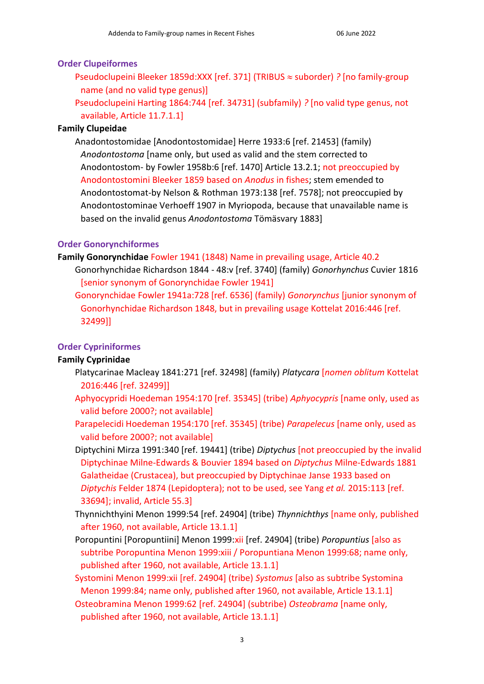### **Order Clupeiformes**

Pseudoclupeini Bleeker 1859d:XXX [ref. 371] (TRIBUS ≈ suborder) *?* [no family-group name (and no valid type genus)]

Pseudoclupeini Harting 1864:744 [ref. 34731] (subfamily) *?* [no valid type genus, not available, Article 11.7.1.1]

### **Family Clupeidae**

Anadontostomidae [Anodontostomidae] Herre 1933:6 [ref. 21453] (family) *Anodontostoma* [name only, but used as valid and the stem corrected to Anodontostom- by Fowler 1958b:6 [ref. 1470] Article 13.2.1; not preoccupied by Anodontostomini Bleeker 1859 based on *Anodus* in fishes; stem emended to Anodontostomat-by Nelson & Rothman 1973:138 [ref. 7578]; not preoccupied by Anodontostominae Verhoeff 1907 in Myriopoda, because that unavailable name is based on the invalid genus *Anodontostoma* Tömäsvary 1883]

### **Order Gonorynchiformes**

- **Family Gonorynchidae** Fowler 1941 (1848) Name in prevailing usage, Article 40.2
	- Gonorhynchidae Richardson 1844 48:v [ref. 3740] (family) *Gonorhynchus* Cuvier 1816 [senior synonym of Gonorynchidae Fowler 1941]
	- Gonorynchidae Fowler 1941a:728 [ref. 6536] (family) *Gonorynchus* [junior synonym of Gonorhynchidae Richardson 1848, but in prevailing usage Kottelat 2016:446 [ref. 32499]]

### **Order Cypriniformes**

### **Family Cyprinidae**

- Platycarinae Macleay 1841:271 [ref. 32498] (family) *Platycara* [*nomen oblitum* Kottelat 2016:446 [ref. 32499]]
- Aphyocypridi Hoedeman 1954:170 [ref. 35345] (tribe) *Aphyocypris* [name only, used as valid before 2000?; not available]
- Parapelecidi Hoedeman 1954:170 [ref. 35345] (tribe) *Parapelecus* [name only, used as valid before 2000?; not available]
- Diptychini Mirza 1991:340 [ref. 19441] (tribe) *Diptychus* [not preoccupied by the invalid Diptychinae Milne-Edwards & Bouvier 1894 based on *Diptychus* Milne-Edwards 1881 Galatheidae (Crustacea), but preoccupied by Diptychinae Janse 1933 based on *Diptychis* Felder 1874 (Lepidoptera); not to be used, see Yang *et al.* 2015:113 [ref. 33694]; invalid, Article 55.3]
- Thynnichthyini Menon 1999:54 [ref. 24904] (tribe) *Thynnichthys* [name only, published after 1960, not available, Article 13.1.1]
- Poropuntini [Poropuntiini] Menon 1999:xii [ref. 24904] (tribe) *Poropuntius* [also as subtribe Poropuntina Menon 1999:xiii / Poropuntiana Menon 1999:68; name only, published after 1960, not available, Article 13.1.1]
- Systomini Menon 1999:xii [ref. 24904] (tribe) *Systomus* [also as subtribe Systomina Menon 1999:84; name only, published after 1960, not available, Article 13.1.1]
- Osteobramina Menon 1999:62 [ref. 24904] (subtribe) *Osteobrama* [name only, published after 1960, not available, Article 13.1.1]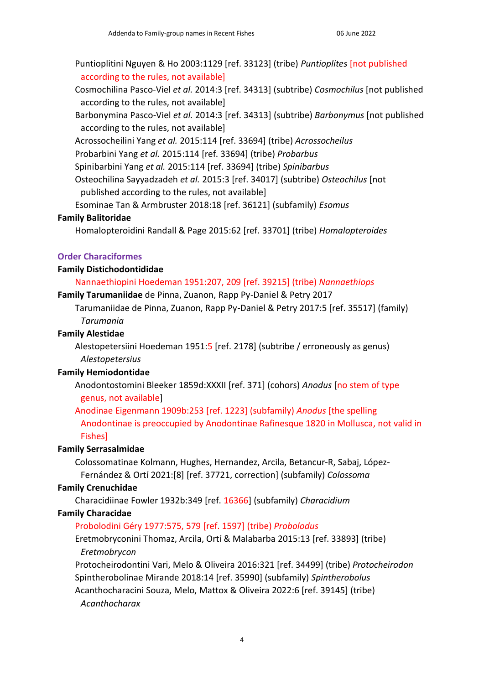Puntioplitini Nguyen & Ho 2003:1129 [ref. 33123] (tribe) *Puntioplites* [not published according to the rules, not available]

Cosmochilina Pasco-Viel *et al.* 2014:3 [ref. 34313] (subtribe) *Cosmochilus* [not published according to the rules, not available]

Barbonymina Pasco-Viel *et al.* 2014:3 [ref. 34313] (subtribe) *Barbonymus* [not published according to the rules, not available]

Acrossocheilini Yang *et al.* 2015:114 [ref. 33694] (tribe) *Acrossocheilus*

Probarbini Yang *et al.* 2015:114 [ref. 33694] (tribe) *Probarbus*

Spinibarbini Yang *et al.* 2015:114 [ref. 33694] (tribe) *Spinibarbus*

Osteochilina Sayyadzadeh *et al.* 2015:3 [ref. 34017] (subtribe) *Osteochilus* [not published according to the rules, not available]

Esominae Tan & Armbruster 2018:18 [ref. 36121] (subfamily) *Esomus*

### **Family Balitoridae**

Homalopteroidini Randall & Page 2015:62 [ref. 33701] (tribe) *Homalopteroides*

## **Order Characiformes**

## **Family Distichodontididae**

## Nannaethiopini Hoedeman 1951:207, 209 [ref. 39215] (tribe) *Nannaethiops*

**Family Tarumaniidae** de Pinna, Zuanon, Rapp Py-Daniel & Petry 2017

Tarumaniidae de Pinna, Zuanon, Rapp Py-Daniel & Petry 2017:5 [ref. 35517] (family) *Tarumania*

### **Family Alestidae**

Alestopetersiini Hoedeman 1951:5 [ref. 2178] (subtribe / erroneously as genus) *Alestopetersius*

### **Family Hemiodontidae**

Anodontostomini Bleeker 1859d:XXXII [ref. 371] (cohors) *Anodus* [no stem of type genus, not available]

Anodinae Eigenmann 1909b:253 [ref. 1223] (subfamily) *Anodus* [the spelling Anodontinae is preoccupied by Anodontinae Rafinesque 1820 in Mollusca, not valid in Fishes]

# **Family Serrasalmidae**

Colossomatinae Kolmann, Hughes, Hernandez, Arcila, Betancur-R, Sabaj, López-Fernández & Ortí 2021:[8] [ref. 37721, correction] (subfamily) *Colossoma*

### **Family Crenuchidae**

Characidiinae Fowler 1932b:349 [ref. 16366] (subfamily) *Characidium*

### **Family Characidae**

# Probolodini Géry 1977:575, 579 [ref. 1597] (tribe) *Probolodus*

Eretmobryconini Thomaz, Arcila, Ortí & Malabarba 2015:13 [ref. 33893] (tribe) *Eretmobrycon*

Protocheirodontini Vari, Melo & Oliveira 2016:321 [ref. 34499] (tribe) *Protocheirodon* Spintherobolinae Mirande 2018:14 [ref. 35990] (subfamily) *Spintherobolus*

Acanthocharacini Souza, Melo, Mattox & Oliveira 2022:6 [ref. 39145] (tribe) *Acanthocharax*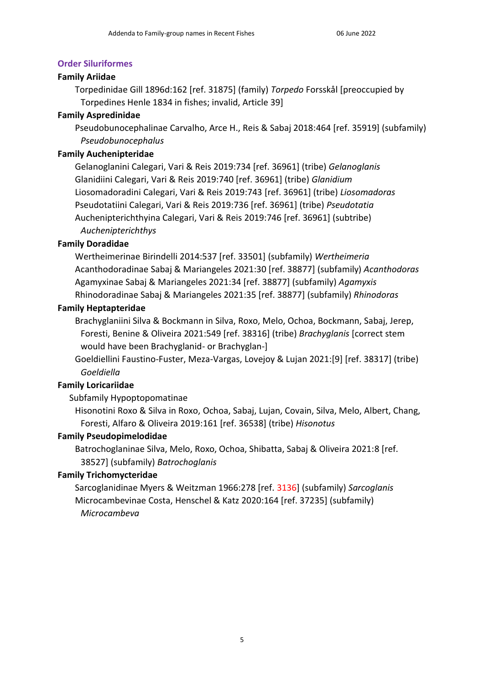### **Order Siluriformes**

### **Family Ariidae**

Torpedinidae Gill 1896d:162 [ref. 31875] (family) *Torpedo* Forsskål [preoccupied by Torpedines Henle 1834 in fishes; invalid, Article 39]

## **Family Aspredinidae**

Pseudobunocephalinae Carvalho, Arce H., Reis & Sabaj 2018:464 [ref. 35919] (subfamily) *Pseudobunocephalus*

### **Family Auchenipteridae**

Gelanoglanini Calegari, Vari & Reis 2019:734 [ref. 36961] (tribe) *Gelanoglanis* Glanidiini Calegari, Vari & Reis 2019:740 [ref. 36961] (tribe) *Glanidium* Liosomadoradini Calegari, Vari & Reis 2019:743 [ref. 36961] (tribe) *Liosomadoras* Pseudotatiini Calegari, Vari & Reis 2019:736 [ref. 36961] (tribe) *Pseudotatia* Auchenipterichthyina Calegari, Vari & Reis 2019:746 [ref. 36961] (subtribe) *Auchenipterichthys*

## **Family Doradidae**

Wertheimerinae Birindelli 2014:537 [ref. 33501] (subfamily) *Wertheimeria* Acanthodoradinae Sabaj & Mariangeles 2021:30 [ref. 38877] (subfamily) *Acanthodoras* Agamyxinae Sabaj & Mariangeles 2021:34 [ref. 38877] (subfamily) *Agamyxis* Rhinodoradinae Sabaj & Mariangeles 2021:35 [ref. 38877] (subfamily) *Rhinodoras*

### **Family Heptapteridae**

Brachyglaniini Silva & Bockmann in Silva, Roxo, Melo, Ochoa, Bockmann, Sabaj, Jerep, Foresti, Benine & Oliveira 2021:549 [ref. 38316] (tribe) *Brachyglanis* [correct stem would have been Brachyglanid- or Brachyglan-]

Goeldiellini Faustino-Fuster, Meza-Vargas, Lovejoy & Lujan 2021:[9] [ref. 38317] (tribe) *Goeldiella*

# **Family Loricariidae**

# Subfamily Hypoptopomatinae

Hisonotini Roxo & Silva in Roxo, Ochoa, Sabaj, Lujan, Covain, Silva, Melo, Albert, Chang, Foresti, Alfaro & Oliveira 2019:161 [ref. 36538] (tribe) *Hisonotus*

### **Family Pseudopimelodidae**

Batrochoglaninae Silva, Melo, Roxo, Ochoa, Shibatta, Sabaj & Oliveira 2021:8 [ref. 38527] (subfamily) *Batrochoglanis*

# **Family Trichomycteridae**

Sarcoglanidinae Myers & Weitzman 1966:278 [ref. 3136] (subfamily) *Sarcoglanis* Microcambevinae Costa, Henschel & Katz 2020:164 [ref. 37235] (subfamily) *Microcambeva*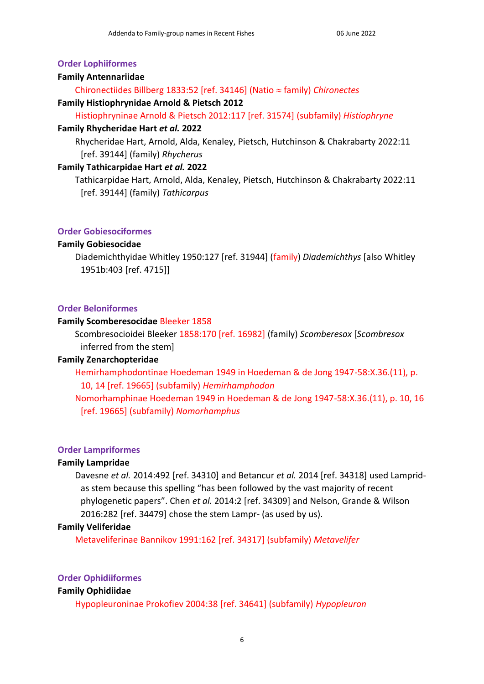#### **Order Lophiiformes**

#### **Family Antennariidae**

Chironectiides Billberg 1833:52 [ref. 34146] (Natio family) *Chironectes*

#### **Family Histiophrynidae Arnold & Pietsch 2012**

Histiophryninae Arnold & Pietsch 2012:117 [ref. 31574] (subfamily) *Histiophryne*

#### **Family Rhycheridae Hart** *et al.* **2022**

Rhycheridae Hart, Arnold, Alda, Kenaley, Pietsch, Hutchinson & Chakrabarty 2022:11 [ref. 39144] (family) *Rhycherus*

#### **Family Tathicarpidae Hart** *et al.* **2022**

Tathicarpidae Hart, Arnold, Alda, Kenaley, Pietsch, Hutchinson & Chakrabarty 2022:11 [ref. 39144] (family) *Tathicarpus*

#### **Order Gobiesociformes**

#### **Family Gobiesocidae**

Diademichthyidae Whitley 1950:127 [ref. 31944] (family) *Diademichthys* [also Whitley 1951b:403 [ref. 4715]]

#### **Order Beloniformes**

#### **Family Scomberesocidae** Bleeker 1858

Scombresocioidei Bleeker 1858:170 [ref. 16982] (family) *Scomberesox* [*Scombresox* inferred from the stem]

### **Family Zenarchopteridae**

Hemirhamphodontinae Hoedeman 1949 in Hoedeman & de Jong 1947-58:X.36.(11), p. 10, 14 [ref. 19665] (subfamily) *Hemirhamphodon*

Nomorhamphinae Hoedeman 1949 in Hoedeman & de Jong 1947-58:X.36.(11), p. 10, 16 [ref. 19665] (subfamily) *Nomorhamphus*

#### **Order Lampriformes**

#### **Family Lampridae**

Davesne *et al.* 2014:492 [ref. 34310] and Betancur *et al.* 2014 [ref. 34318] used Lampridas stem because this spelling "has been followed by the vast majority of recent phylogenetic papers". Chen *et al.* 2014:2 [ref. 34309] and Nelson, Grande & Wilson 2016:282 [ref. 34479] chose the stem Lampr- (as used by us).

#### **Family Veliferidae**

Metaveliferinae Bannikov 1991:162 [ref. 34317] (subfamily) *Metavelifer*

#### **Order Ophidiiformes**

#### **Family Ophidiidae**

Hypopleuroninae Prokofiev 2004:38 [ref. 34641] (subfamily) *Hypopleuron*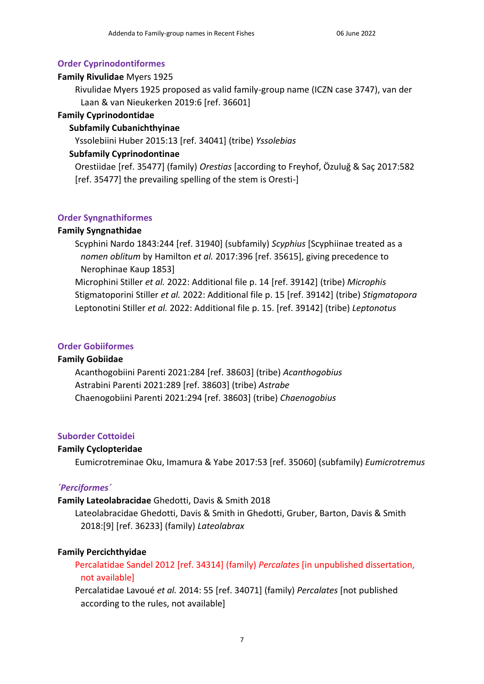### **Order Cyprinodontiformes**

### **Family Rivulidae** Myers 1925

Rivulidae Myers 1925 proposed as valid family-group name (ICZN case 3747), van der Laan & van Nieukerken 2019:6 [ref. 36601]

### **Family Cyprinodontidae**

## **Subfamily Cubanichthyinae**

Yssolebiini Huber 2015:13 [ref. 34041] (tribe) *Yssolebias*

## **Subfamily Cyprinodontinae**

Orestiidae [ref. 35477] (family) *Orestias* [according to Freyhof, Özuluğ & Saç 2017:582 [ref. 35477] the prevailing spelling of the stem is Oresti-]

### **Order Syngnathiformes**

## **Family Syngnathidae**

Scyphini Nardo 1843:244 [ref. 31940] (subfamily) *Scyphius* [Scyphiinae treated as a *nomen oblitum* by Hamilton *et al.* 2017:396 [ref. 35615], giving precedence to Nerophinae Kaup 1853]

Microphini Stiller *et al.* 2022: Additional file p. 14 [ref. 39142] (tribe) *Microphis* Stigmatoporini Stiller *et al.* 2022: Additional file p. 15 [ref. 39142] (tribe) *Stigmatopora* Leptonotini Stiller *et al.* 2022: Additional file p. 15. [ref. 39142] (tribe) *Leptonotus*

### **Order Gobiiformes**

### **Family Gobiidae**

Acanthogobiini Parenti 2021:284 [ref. 38603] (tribe) *Acanthogobius* Astrabini Parenti 2021:289 [ref. 38603] (tribe) *Astrabe* Chaenogobiini Parenti 2021:294 [ref. 38603] (tribe) *Chaenogobius*

### **Suborder Cottoidei**

### **Family Cyclopteridae**

Eumicrotreminae Oku, Imamura & Yabe 2017:53 [ref. 35060] (subfamily) *Eumicrotremus*

### *´Perciformes´*

### **Family Lateolabracidae** Ghedotti, Davis & Smith 2018

Lateolabracidae Ghedotti, Davis & Smith in Ghedotti, Gruber, Barton, Davis & Smith 2018:[9] [ref. 36233] (family) *Lateolabrax*

### **Family Percichthyidae**

Percalatidae Sandel 2012 [ref. 34314] (family) *Percalates* [in unpublished dissertation, not available]

Percalatidae Lavoué *et al.* 2014: 55 [ref. 34071] (family) *Percalates* [not published according to the rules, not available]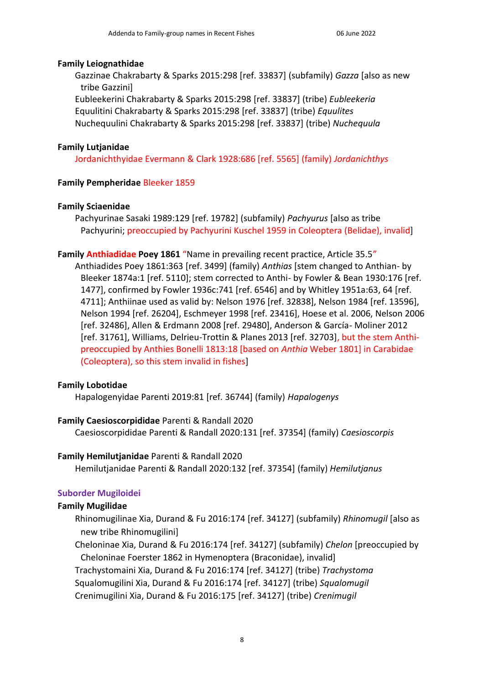#### **Family Leiognathidae**

Gazzinae Chakrabarty & Sparks 2015:298 [ref. 33837] (subfamily) *Gazza* [also as new tribe Gazzini]

Eubleekerini Chakrabarty & Sparks 2015:298 [ref. 33837] (tribe) *Eubleekeria* Equulitini Chakrabarty & Sparks 2015:298 [ref. 33837] (tribe) *Equulites* Nuchequulini Chakrabarty & Sparks 2015:298 [ref. 33837] (tribe) *Nuchequula*

### **Family Lutjanidae**

Jordanichthyidae Evermann & Clark 1928:686 [ref. 5565] (family) *Jordanichthys*

### **Family Pempheridae** Bleeker 1859

### **Family Sciaenidae**

Pachyurinae Sasaki 1989:129 [ref. 19782] (subfamily) *Pachyurus* [also as tribe Pachyurini; preoccupied by Pachyurini Kuschel 1959 in Coleoptera (Belidae), invalid]

**Family Anthiadidae Poey 1861** "Name in prevailing recent practice, Article 35.5"

Anthiadides Poey 1861:363 [ref. 3499] (family) *Anthias* [stem changed to Anthian- by Bleeker 1874a:1 [ref. 5110]; stem corrected to Anthi- by Fowler & Bean 1930:176 [ref. 1477], confirmed by Fowler 1936c:741 [ref. 6546] and by Whitley 1951a:63, 64 [ref. 4711]; Anthiinae used as valid by: Nelson 1976 [ref. 32838], Nelson 1984 [ref. 13596], Nelson 1994 [ref. 26204], Eschmeyer 1998 [ref. 23416], Hoese et al. 2006, Nelson 2006 [ref. 32486], Allen & Erdmann 2008 [ref. 29480], Anderson & García- Moliner 2012 [ref. 31761], Williams, Delrieu-Trottin & Planes 2013 [ref. 32703], but the stem Anthipreoccupied by Anthies Bonelli 1813:18 [based on *Anthia* Weber 1801] in Carabidae (Coleoptera), so this stem invalid in fishes]

### **Family Lobotidae**

Hapalogenyidae Parenti 2019:81 [ref. 36744] (family) *Hapalogenys*

### **Family Caesioscorpididae** Parenti & Randall 2020

Caesioscorpididae Parenti & Randall 2020:131 [ref. 37354] (family) *Caesioscorpis*

### **Family Hemilutjanidae** Parenti & Randall 2020

Hemilutjanidae Parenti & Randall 2020:132 [ref. 37354] (family) *Hemilutjanus*

### **Suborder Mugiloidei**

### **Family Mugilidae**

Rhinomugilinae Xia, Durand & Fu 2016:174 [ref. 34127] (subfamily) *Rhinomugil* [also as new tribe Rhinomugilini]

Cheloninae Xia, Durand & Fu 2016:174 [ref. 34127] (subfamily) *Chelon* [preoccupied by Cheloninae Foerster 1862 in Hymenoptera (Braconidae), invalid]

Trachystomaini Xia, Durand & Fu 2016:174 [ref. 34127] (tribe) *Trachystoma*

Squalomugilini Xia, Durand & Fu 2016:174 [ref. 34127] (tribe) *Squalomugil*

Crenimugilini Xia, Durand & Fu 2016:175 [ref. 34127] (tribe) *Crenimugil*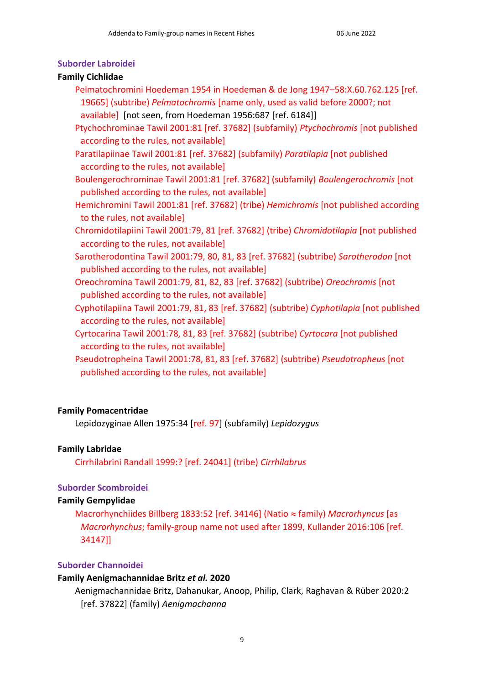### **Suborder Labroidei**

### **Family Cichlidae**

- Pelmatochromini Hoedeman 1954 in Hoedeman & de Jong 1947–58:X.60.762.125 [ref. 19665] (subtribe) *Pelmatochromis* [name only, used as valid before 2000?; not available] [not seen, from Hoedeman 1956:687 [ref. 6184]]
- Ptychochrominae Tawil 2001:81 [ref. 37682] (subfamily) *Ptychochromis* [not published according to the rules, not available]
- Paratilapiinae Tawil 2001:81 [ref. 37682] (subfamily) *Paratilapia* [not published according to the rules, not available]

Boulengerochrominae Tawil 2001:81 [ref. 37682] (subfamily) *Boulengerochromis* [not published according to the rules, not available]

- Hemichromini Tawil 2001:81 [ref. 37682] (tribe) *Hemichromis* [not published according to the rules, not available]
- Chromidotilapiini Tawil 2001:79, 81 [ref. 37682] (tribe) *Chromidotilapia* [not published according to the rules, not available]
- Sarotherodontina Tawil 2001:79, 80, 81, 83 [ref. 37682] (subtribe) *Sarotherodon* [not published according to the rules, not available]
- Oreochromina Tawil 2001:79, 81, 82, 83 [ref. 37682] (subtribe) *Oreochromis* [not published according to the rules, not available]
- Cyphotilapiina Tawil 2001:79, 81, 83 [ref. 37682] (subtribe) *Cyphotilapia* [not published according to the rules, not available]
- Cyrtocarina Tawil 2001:78, 81, 83 [ref. 37682] (subtribe) *Cyrtocara* [not published according to the rules, not available]
- Pseudotropheina Tawil 2001:78, 81, 83 [ref. 37682] (subtribe) *Pseudotropheus* [not published according to the rules, not available]

# **Family Pomacentridae**

Lepidozyginae Allen 1975:34 [ref. 97] (subfamily) *Lepidozygus*

### **Family Labridae**

Cirrhilabrini Randall 1999:? [ref. 24041] (tribe) *Cirrhilabrus*

### **Suborder Scombroidei**

### **Family Gempylidae**

Macrorhynchiides Billberg 1833:52 [ref. 34146] (Natio family) *Macrorhyncus* [as *Macrorhynchus*; family-group name not used after 1899, Kullander 2016:106 [ref. 34147]]

### **Suborder Channoidei**

### **Family Aenigmachannidae Britz** *et al.* **2020**

Aenigmachannidae Britz, Dahanukar, Anoop, Philip, Clark, Raghavan & Rüber 2020:2 [ref. 37822] (family) *Aenigmachanna*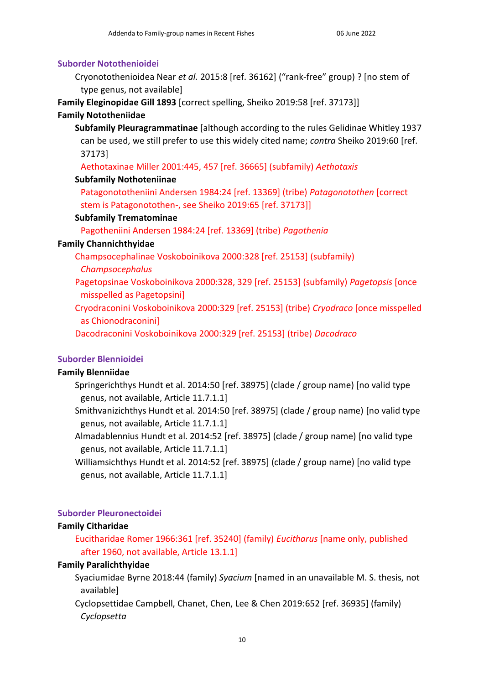#### **Suborder Notothenioidei**

Cryonotothenioidea Near *et al.* 2015:8 [ref. 36162] ("rank-free" group) ? [no stem of type genus, not available]

**Family Eleginopidae Gill 1893** [correct spelling, Sheiko 2019:58 [ref. 37173]]

### **Family Nototheniidae**

**Subfamily Pleuragrammatinae** [although according to the rules Gelidinae Whitley 1937 can be used, we still prefer to use this widely cited name; *contra* Sheiko 2019:60 [ref. 37173]

Aethotaxinae Miller 2001:445, 457 [ref. 36665] (subfamily) *Aethotaxis*

### **Subfamily Nothoteniinae**

Patagonototheniini Andersen 1984:24 [ref. 13369] (tribe) *Patagonotothen* [correct stem is Patagonotothen-, see Sheiko 2019:65 [ref. 37173]]

### **Subfamily Trematominae**

Pagotheniini Andersen 1984:24 [ref. 13369] (tribe) *Pagothenia*

### **Family Channichthyidae**

Champsocephalinae Voskoboinikova 2000:328 [ref. 25153] (subfamily) *Champsocephalus*

Pagetopsinae Voskoboinikova 2000:328, 329 [ref. 25153] (subfamily) *Pagetopsis* [once misspelled as Pagetopsini]

Cryodraconini Voskoboinikova 2000:329 [ref. 25153] (tribe) *Cryodraco* [once misspelled as Chionodraconini]

Dacodraconini Voskoboinikova 2000:329 [ref. 25153] (tribe) *Dacodraco*

### **Suborder Blennioidei**

### **Family Blenniidae**

Springerichthys Hundt et al. 2014:50 [ref. 38975] (clade / group name) [no valid type genus, not available, Article 11.7.1.1]

Smithvanizichthys Hundt et al. 2014:50 [ref. 38975] (clade / group name) [no valid type genus, not available, Article 11.7.1.1]

Almadablennius Hundt et al. 2014:52 [ref. 38975] (clade / group name) [no valid type genus, not available, Article 11.7.1.1]

Williamsichthys Hundt et al. 2014:52 [ref. 38975] (clade / group name) [no valid type genus, not available, Article 11.7.1.1]

#### **Suborder Pleuronectoidei**

#### **Family Citharidae**

Eucitharidae Romer 1966:361 [ref. 35240] (family) *Eucitharus* [name only, published after 1960, not available, Article 13.1.1]

#### **Family Paralichthyidae**

Syaciumidae Byrne 2018:44 (family) *Syacium* [named in an unavailable M. S. thesis, not available]

Cyclopsettidae Campbell, Chanet, Chen, Lee & Chen 2019:652 [ref. 36935] (family) *Cyclopsetta*